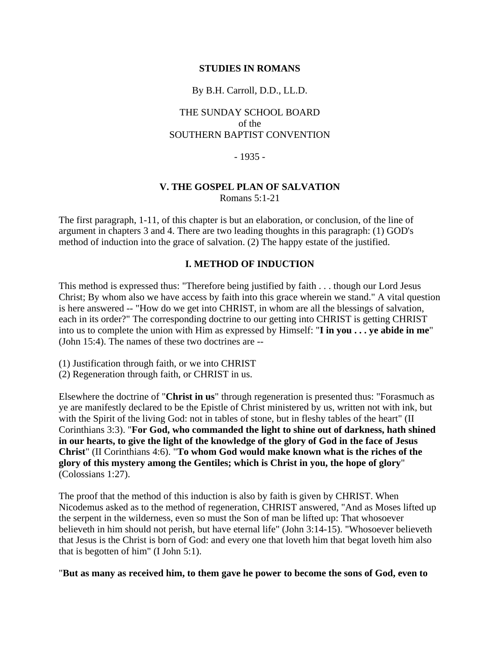#### **STUDIES IN ROMANS**

#### By B.H. Carroll, D.D., LL.D.

## THE SUNDAY SCHOOL BOARD of the SOUTHERN BAPTIST CONVENTION

#### - 1935 -

# **V. THE GOSPEL PLAN OF SALVATION**

Romans 5:1-21

The first paragraph, 1-11, of this chapter is but an elaboration, or conclusion, of the line of argument in chapters 3 and 4. There are two leading thoughts in this paragraph: (1) GOD's method of induction into the grace of salvation. (2) The happy estate of the justified.

## **I. METHOD OF INDUCTION**

This method is expressed thus: "Therefore being justified by faith . . . though our Lord Jesus Christ; By whom also we have access by faith into this grace wherein we stand." A vital question is here answered -- "How do we get into CHRIST, in whom are all the blessings of salvation, each in its order?" The corresponding doctrine to our getting into CHRIST is getting CHRIST into us to complete the union with Him as expressed by Himself: "**I in you . . . ye abide in me**" (John 15:4). The names of these two doctrines are --

- (1) Justification through faith, or we into CHRIST
- (2) Regeneration through faith, or CHRIST in us.

Elsewhere the doctrine of "**Christ in us**" through regeneration is presented thus: "Forasmuch as ye are manifestly declared to be the Epistle of Christ ministered by us, written not with ink, but with the Spirit of the living God: not in tables of stone, but in fleshy tables of the heart" (II Corinthians 3:3). "**For God, who commanded the light to shine out of darkness, hath shined in our hearts, to give the light of the knowledge of the glory of God in the face of Jesus Christ**" (II Corinthians 4:6). "**To whom God would make known what is the riches of the glory of this mystery among the Gentiles; which is Christ in you, the hope of glory**" (Colossians 1:27).

The proof that the method of this induction is also by faith is given by CHRIST. When Nicodemus asked as to the method of regeneration, CHRIST answered, "And as Moses lifted up the serpent in the wilderness, even so must the Son of man be lifted up: That whosoever believeth in him should not perish, but have eternal life" (John 3:14-15). "Whosoever believeth that Jesus is the Christ is born of God: and every one that loveth him that begat loveth him also that is begotten of him" (I John 5:1).

#### "**But as many as received him, to them gave he power to become the sons of God, even to**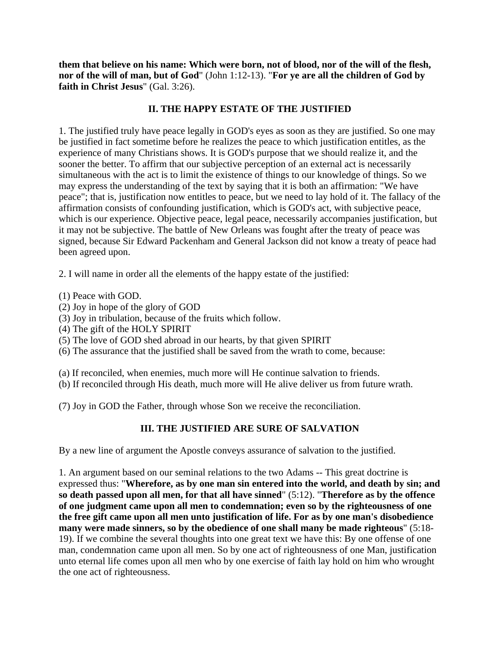**them that believe on his name: Which were born, not of blood, nor of the will of the flesh, nor of the will of man, but of God**" (John 1:12-13). "**For ye are all the children of God by faith in Christ Jesus**" (Gal. 3:26).

# **II. THE HAPPY ESTATE OF THE JUSTIFIED**

1. The justified truly have peace legally in GOD's eyes as soon as they are justified. So one may be justified in fact sometime before he realizes the peace to which justification entitles, as the experience of many Christians shows. It is GOD's purpose that we should realize it, and the sooner the better. To affirm that our subjective perception of an external act is necessarily simultaneous with the act is to limit the existence of things to our knowledge of things. So we may express the understanding of the text by saying that it is both an affirmation: "We have peace"; that is, justification now entitles to peace, but we need to lay hold of it. The fallacy of the affirmation consists of confounding justification, which is GOD's act, with subjective peace, which is our experience. Objective peace, legal peace, necessarily accompanies justification, but it may not be subjective. The battle of New Orleans was fought after the treaty of peace was signed, because Sir Edward Packenham and General Jackson did not know a treaty of peace had been agreed upon.

2. I will name in order all the elements of the happy estate of the justified:

- (1) Peace with GOD.
- (2) Joy in hope of the glory of GOD
- (3) Joy in tribulation, because of the fruits which follow.
- (4) The gift of the HOLY SPIRIT
- (5) The love of GOD shed abroad in our hearts, by that given SPIRIT
- (6) The assurance that the justified shall be saved from the wrath to come, because:
- (a) If reconciled, when enemies, much more will He continue salvation to friends.
- (b) If reconciled through His death, much more will He alive deliver us from future wrath.
- (7) Joy in GOD the Father, through whose Son we receive the reconciliation.

# **III. THE JUSTIFIED ARE SURE OF SALVATION**

By a new line of argument the Apostle conveys assurance of salvation to the justified.

1. An argument based on our seminal relations to the two Adams -- This great doctrine is expressed thus: "**Wherefore, as by one man sin entered into the world, and death by sin; and so death passed upon all men, for that all have sinned**" (5:12). "**Therefore as by the offence of one judgment came upon all men to condemnation; even so by the righteousness of one the free gift came upon all men unto justification of life. For as by one man's disobedience many were made sinners, so by the obedience of one shall many be made righteous**" (5:18- 19). If we combine the several thoughts into one great text we have this: By one offense of one man, condemnation came upon all men. So by one act of righteousness of one Man, justification unto eternal life comes upon all men who by one exercise of faith lay hold on him who wrought the one act of righteousness.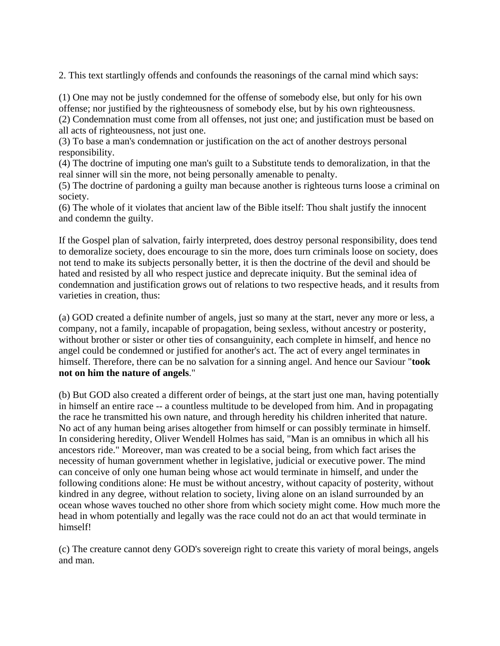2. This text startlingly offends and confounds the reasonings of the carnal mind which says:

(1) One may not be justly condemned for the offense of somebody else, but only for his own offense; nor justified by the righteousness of somebody else, but by his own righteousness.

(2) Condemnation must come from all offenses, not just one; and justification must be based on all acts of righteousness, not just one.

(3) To base a man's condemnation or justification on the act of another destroys personal responsibility.

(4) The doctrine of imputing one man's guilt to a Substitute tends to demoralization, in that the real sinner will sin the more, not being personally amenable to penalty.

(5) The doctrine of pardoning a guilty man because another is righteous turns loose a criminal on society.

(6) The whole of it violates that ancient law of the Bible itself: Thou shalt justify the innocent and condemn the guilty.

If the Gospel plan of salvation, fairly interpreted, does destroy personal responsibility, does tend to demoralize society, does encourage to sin the more, does turn criminals loose on society, does not tend to make its subjects personally better, it is then the doctrine of the devil and should be hated and resisted by all who respect justice and deprecate iniquity. But the seminal idea of condemnation and justification grows out of relations to two respective heads, and it results from varieties in creation, thus:

(a) GOD created a definite number of angels, just so many at the start, never any more or less, a company, not a family, incapable of propagation, being sexless, without ancestry or posterity, without brother or sister or other ties of consanguinity, each complete in himself, and hence no angel could be condemned or justified for another's act. The act of every angel terminates in himself. Therefore, there can be no salvation for a sinning angel. And hence our Saviour "**took not on him the nature of angels**."

(b) But GOD also created a different order of beings, at the start just one man, having potentially in himself an entire race -- a countless multitude to be developed from him. And in propagating the race he transmitted his own nature, and through heredity his children inherited that nature. No act of any human being arises altogether from himself or can possibly terminate in himself. In considering heredity, Oliver Wendell Holmes has said, "Man is an omnibus in which all his ancestors ride." Moreover, man was created to be a social being, from which fact arises the necessity of human government whether in legislative, judicial or executive power. The mind can conceive of only one human being whose act would terminate in himself, and under the following conditions alone: He must be without ancestry, without capacity of posterity, without kindred in any degree, without relation to society, living alone on an island surrounded by an ocean whose waves touched no other shore from which society might come. How much more the head in whom potentially and legally was the race could not do an act that would terminate in himself!

(c) The creature cannot deny GOD's sovereign right to create this variety of moral beings, angels and man.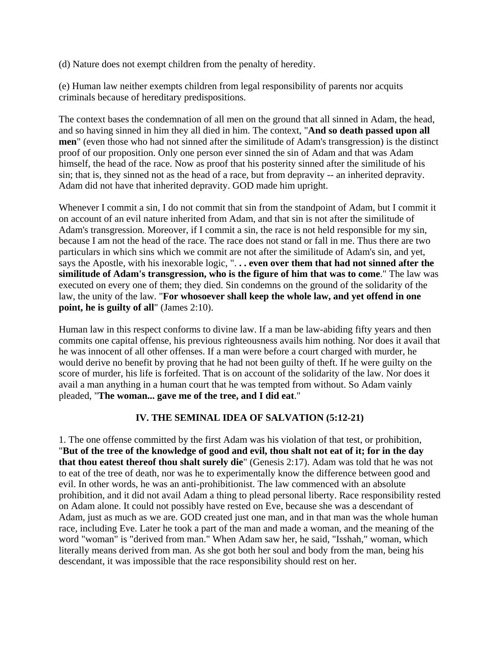(d) Nature does not exempt children from the penalty of heredity.

(e) Human law neither exempts children from legal responsibility of parents nor acquits criminals because of hereditary predispositions.

The context bases the condemnation of all men on the ground that all sinned in Adam, the head, and so having sinned in him they all died in him. The context, "**And so death passed upon all men**" (even those who had not sinned after the similitude of Adam's transgression) is the distinct proof of our proposition. Only one person ever sinned the sin of Adam and that was Adam himself, the head of the race. Now as proof that his posterity sinned after the similitude of his sin; that is, they sinned not as the head of a race, but from depravity -- an inherited depravity. Adam did not have that inherited depravity. GOD made him upright.

Whenever I commit a sin, I do not commit that sin from the standpoint of Adam, but I commit it on account of an evil nature inherited from Adam, and that sin is not after the similitude of Adam's transgression. Moreover, if I commit a sin, the race is not held responsible for my sin, because I am not the head of the race. The race does not stand or fall in me. Thus there are two particulars in which sins which we commit are not after the similitude of Adam's sin, and yet, says the Apostle, with his inexorable logic, ". **. . even over them that had not sinned after the similitude of Adam's transgression, who is the figure of him that was to come**." The law was executed on every one of them; they died. Sin condemns on the ground of the solidarity of the law, the unity of the law. "**For whosoever shall keep the whole law, and yet offend in one point, he is guilty of all**" (James 2:10).

Human law in this respect conforms to divine law. If a man be law-abiding fifty years and then commits one capital offense, his previous righteousness avails him nothing. Nor does it avail that he was innocent of all other offenses. If a man were before a court charged with murder, he would derive no benefit by proving that he had not been guilty of theft. If he were guilty on the score of murder, his life is forfeited. That is on account of the solidarity of the law. Nor does it avail a man anything in a human court that he was tempted from without. So Adam vainly pleaded, "**The woman... gave me of the tree, and I did eat**."

#### **IV. THE SEMINAL IDEA OF SALVATION (5:12-21)**

1. The one offense committed by the first Adam was his violation of that test, or prohibition, "**But of the tree of the knowledge of good and evil, thou shalt not eat of it; for in the day that thou eatest thereof thou shalt surely die**" (Genesis 2:17). Adam was told that he was not to eat of the tree of death, nor was he to experimentally know the difference between good and evil. In other words, he was an anti-prohibitionist. The law commenced with an absolute prohibition, and it did not avail Adam a thing to plead personal liberty. Race responsibility rested on Adam alone. It could not possibly have rested on Eve, because she was a descendant of Adam, just as much as we are. GOD created just one man, and in that man was the whole human race, including Eve. Later he took a part of the man and made a woman, and the meaning of the word "woman" is "derived from man." When Adam saw her, he said, "Isshah," woman, which literally means derived from man. As she got both her soul and body from the man, being his descendant, it was impossible that the race responsibility should rest on her.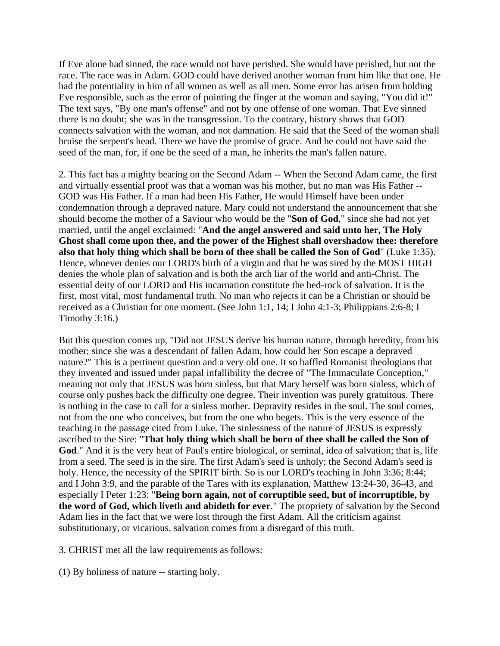If Eve alone had sinned, the race would not have perished. She would have perished, but not the race. The race was in Adam. GOD could have derived another woman from him like that one. He had the potentiality in him of all women as well as all men. Some error has arisen from holding Eve responsible, such as the error of pointing the finger at the woman and saying, "You did it!" The text says, "By one man's offense" and not by one offense of one woman. That Eve sinned there is no doubt; she was in the transgression. To the contrary, history shows that GOD connects salvation with the woman, and not damnation. He said that the Seed of the woman shall bruise the serpent's head. There we have the promise of grace. And he could not have said the seed of the man, for, if one be the seed of a man, he inherits the man's fallen nature.

2. This fact has a mighty bearing on the Second Adam -- When the Second Adam came, the first and virtually essential proof was that a woman was his mother, but no man was His Father -- GOD was His Father. If a man had been His Father, He would Himself have been under condemnation through a depraved nature. Mary could not understand the announcement that she should become the mother of a Saviour who would be the "**Son of God**," since she had not yet married, until the angel exclaimed: "**And the angel answered and said unto her, The Holy Ghost shall come upon thee, and the power of the Highest shall overshadow thee: therefore also that holy thing which shall be born of thee shall be called the Son of God**" (Luke 1:35). Hence, whoever denies our LORD's birth of a virgin and that he was sired by the MOST HIGH denies the whole plan of salvation and is both the arch liar of the world and anti-Christ. The essential deity of our LORD and His incarnation constitute the bed-rock of salvation. It is the first, most vital, most fundamental truth. No man who rejects it can be a Christian or should be received as a Christian for one moment. (See John 1:1, 14; I John 4:1-3; Philippians 2:6-8; I Timothy 3:16.)

But this question comes up, "Did not JESUS derive his human nature, through heredity, from his mother; since she was a descendant of fallen Adam, how could her Son escape a depraved nature?" This is a pertinent question and a very old one. It so baffled Romanist theologians that they invented and issued under papal infallibility the decree of "The Immaculate Conception," meaning not only that JESUS was born sinless, but that Mary herself was born sinless, which of course only pushes back the difficulty one degree. Their invention was purely gratuitous. There is nothing in the case to call for a sinless mother. Depravity resides in the soul. The soul comes, not from the one who conceives, but from the one who begets. This is the very essence of the teaching in the passage cited from Luke. The sinlessness of the nature of JESUS is expressly ascribed to the Sire: "**That holy thing which shall be born of thee shall be called the Son of God**." And it is the very heat of Paul's entire biological, or seminal, idea of salvation; that is, life from a seed. The seed is in the sire. The first Adam's seed is unholy; the Second Adam's seed is holy. Hence, the necessity of the SPIRIT birth. So is our LORD's teaching in John 3:36; 8:44; and I John 3:9, and the parable of the Tares with its explanation, Matthew 13:24-30, 36-43, and especially I Peter 1:23: "**Being born again, not of corruptible seed, but of incorruptible, by the word of God, which liveth and abideth for ever**." The propriety of salvation by the Second Adam lies in the fact that we were lost through the first Adam. All the criticism against substitutionary, or vicarious, salvation comes from a disregard of this truth.

3. CHRIST met all the law requirements as follows:

(1) By holiness of nature -- starting holy.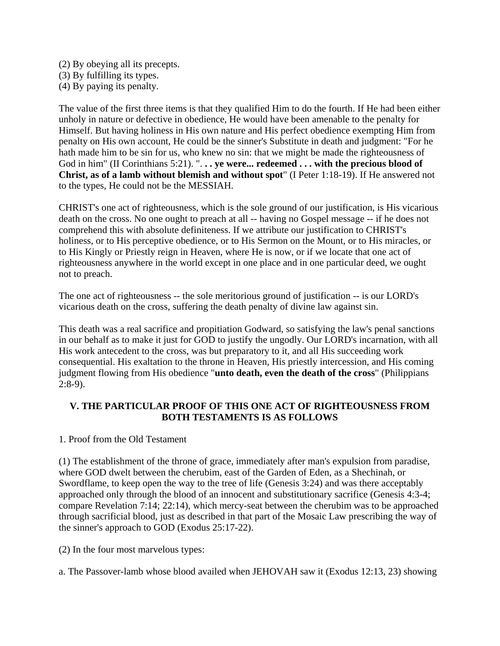(2) By obeying all its precepts.

(3) By fulfilling its types.

(4) By paying its penalty.

The value of the first three items is that they qualified Him to do the fourth. If He had been either unholy in nature or defective in obedience, He would have been amenable to the penalty for Himself. But having holiness in His own nature and His perfect obedience exempting Him from penalty on His own account, He could be the sinner's Substitute in death and judgment: "For he hath made him to be sin for us, who knew no sin: that we might be made the righteousness of God in him" (II Corinthians 5:21). ". **. . ye were... redeemed . . . with the precious blood of Christ, as of a lamb without blemish and without spot**" (I Peter 1:18-19). If He answered not to the types, He could not be the MESSIAH.

CHRIST's one act of righteousness, which is the sole ground of our justification, is His vicarious death on the cross. No one ought to preach at all -- having no Gospel message -- if he does not comprehend this with absolute definiteness. If we attribute our justification to CHRIST's holiness, or to His perceptive obedience, or to His Sermon on the Mount, or to His miracles, or to His Kingly or Priestly reign in Heaven, where He is now, or if we locate that one act of righteousness anywhere in the world except in one place and in one particular deed, we ought not to preach.

The one act of righteousness -- the sole meritorious ground of justification -- is our LORD's vicarious death on the cross, suffering the death penalty of divine law against sin.

This death was a real sacrifice and propitiation Godward, so satisfying the law's penal sanctions in our behalf as to make it just for GOD to justify the ungodly. Our LORD's incarnation, with all His work antecedent to the cross, was but preparatory to it, and all His succeeding work consequential. His exaltation to the throne in Heaven, His priestly intercession, and His coming judgment flowing from His obedience "**unto death, even the death of the cross**" (Philippians 2:8-9).

# **V. THE PARTICULAR PROOF OF THIS ONE ACT OF RIGHTEOUSNESS FROM BOTH TESTAMENTS IS AS FOLLOWS**

# 1. Proof from the Old Testament

(1) The establishment of the throne of grace, immediately after man's expulsion from paradise, where GOD dwelt between the cherubim, east of the Garden of Eden, as a Shechinah, or Swordflame, to keep open the way to the tree of life (Genesis 3:24) and was there acceptably approached only through the blood of an innocent and substitutionary sacrifice (Genesis 4:3-4; compare Revelation 7:14; 22:14), which mercy-seat between the cherubim was to be approached through sacrificial blood, just as described in that part of the Mosaic Law prescribing the way of the sinner's approach to GOD (Exodus 25:17-22).

(2) In the four most marvelous types:

a. The Passover-lamb whose blood availed when JEHOVAH saw it (Exodus 12:13, 23) showing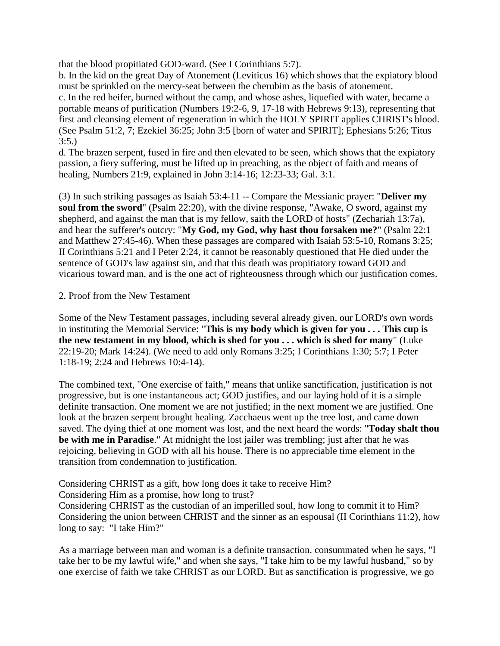that the blood propitiated GOD-ward. (See I Corinthians 5:7).

b. In the kid on the great Day of Atonement (Leviticus 16) which shows that the expiatory blood must be sprinkled on the mercy-seat between the cherubim as the basis of atonement. c. In the red heifer, burned without the camp, and whose ashes, liquefied with water, became a portable means of purification (Numbers 19:2-6, 9, 17-18 with Hebrews 9:13), representing that

first and cleansing element of regeneration in which the HOLY SPIRIT applies CHRIST's blood. (See Psalm 51:2, 7; Ezekiel 36:25; John 3:5 [born of water and SPIRIT]; Ephesians 5:26; Titus 3:5.)

d. The brazen serpent, fused in fire and then elevated to be seen, which shows that the expiatory passion, a fiery suffering, must be lifted up in preaching, as the object of faith and means of healing, Numbers 21:9, explained in John 3:14-16; 12:23-33; Gal. 3:1.

(3) In such striking passages as Isaiah 53:4-11 -- Compare the Messianic prayer: "**Deliver my soul from the sword**" (Psalm 22:20), with the divine response, "Awake, O sword, against my shepherd, and against the man that is my fellow, saith the LORD of hosts" (Zechariah 13:7a), and hear the sufferer's outcry: "**My God, my God, why hast thou forsaken me?**" (Psalm 22:1 and Matthew 27:45-46). When these passages are compared with Isaiah 53:5-10, Romans 3:25; II Corinthians 5:21 and I Peter 2:24, it cannot be reasonably questioned that He died under the sentence of GOD's law against sin, and that this death was propitiatory toward GOD and vicarious toward man, and is the one act of righteousness through which our justification comes.

## 2. Proof from the New Testament

Some of the New Testament passages, including several already given, our LORD's own words in instituting the Memorial Service: "**This is my body which is given for you . . . This cup is the new testament in my blood, which is shed for you . . . which is shed for many**" (Luke 22:19-20; Mark 14:24). (We need to add only Romans 3:25; I Corinthians 1:30; 5:7; I Peter 1:18-19; 2:24 and Hebrews 10:4-14).

The combined text, "One exercise of faith," means that unlike sanctification, justification is not progressive, but is one instantaneous act; GOD justifies, and our laying hold of it is a simple definite transaction. One moment we are not justified; in the next moment we are justified. One look at the brazen serpent brought healing. Zacchaeus went up the tree lost, and came down saved. The dying thief at one moment was lost, and the next heard the words: "**Today shalt thou be with me in Paradise**." At midnight the lost jailer was trembling; just after that he was rejoicing, believing in GOD with all his house. There is no appreciable time element in the transition from condemnation to justification.

Considering CHRIST as a gift, how long does it take to receive Him?

Considering Him as a promise, how long to trust?

Considering CHRIST as the custodian of an imperilled soul, how long to commit it to Him? Considering the union between CHRIST and the sinner as an espousal (II Corinthians 11:2), how long to say: "I take Him?"

As a marriage between man and woman is a definite transaction, consummated when he says, "I take her to be my lawful wife," and when she says, "I take him to be my lawful husband," so by one exercise of faith we take CHRIST as our LORD. But as sanctification is progressive, we go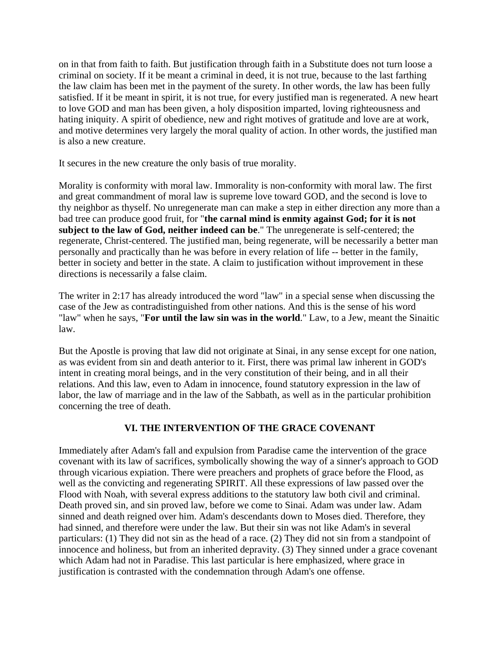on in that from faith to faith. But justification through faith in a Substitute does not turn loose a criminal on society. If it be meant a criminal in deed, it is not true, because to the last farthing the law claim has been met in the payment of the surety. In other words, the law has been fully satisfied. If it be meant in spirit, it is not true, for every justified man is regenerated. A new heart to love GOD and man has been given, a holy disposition imparted, loving righteousness and hating iniquity. A spirit of obedience, new and right motives of gratitude and love are at work, and motive determines very largely the moral quality of action. In other words, the justified man is also a new creature.

It secures in the new creature the only basis of true morality.

Morality is conformity with moral law. Immorality is non-conformity with moral law. The first and great commandment of moral law is supreme love toward GOD, and the second is love to thy neighbor as thyself. No unregenerate man can make a step in either direction any more than a bad tree can produce good fruit, for "**the carnal mind is enmity against God; for it is not subject to the law of God, neither indeed can be**." The unregenerate is self-centered; the regenerate, Christ-centered. The justified man, being regenerate, will be necessarily a better man personally and practically than he was before in every relation of life -- better in the family, better in society and better in the state. A claim to justification without improvement in these directions is necessarily a false claim.

The writer in 2:17 has already introduced the word "law" in a special sense when discussing the case of the Jew as contradistinguished from other nations. And this is the sense of his word "law" when he says, "**For until the law sin was in the world**." Law, to a Jew, meant the Sinaitic law.

But the Apostle is proving that law did not originate at Sinai, in any sense except for one nation, as was evident from sin and death anterior to it. First, there was primal law inherent in GOD's intent in creating moral beings, and in the very constitution of their being, and in all their relations. And this law, even to Adam in innocence, found statutory expression in the law of labor, the law of marriage and in the law of the Sabbath, as well as in the particular prohibition concerning the tree of death.

# **VI. THE INTERVENTION OF THE GRACE COVENANT**

Immediately after Adam's fall and expulsion from Paradise came the intervention of the grace covenant with its law of sacrifices, symbolically showing the way of a sinner's approach to GOD through vicarious expiation. There were preachers and prophets of grace before the Flood, as well as the convicting and regenerating SPIRIT. All these expressions of law passed over the Flood with Noah, with several express additions to the statutory law both civil and criminal. Death proved sin, and sin proved law, before we come to Sinai. Adam was under law. Adam sinned and death reigned over him. Adam's descendants down to Moses died. Therefore, they had sinned, and therefore were under the law. But their sin was not like Adam's in several particulars: (1) They did not sin as the head of a race. (2) They did not sin from a standpoint of innocence and holiness, but from an inherited depravity. (3) They sinned under a grace covenant which Adam had not in Paradise. This last particular is here emphasized, where grace in justification is contrasted with the condemnation through Adam's one offense.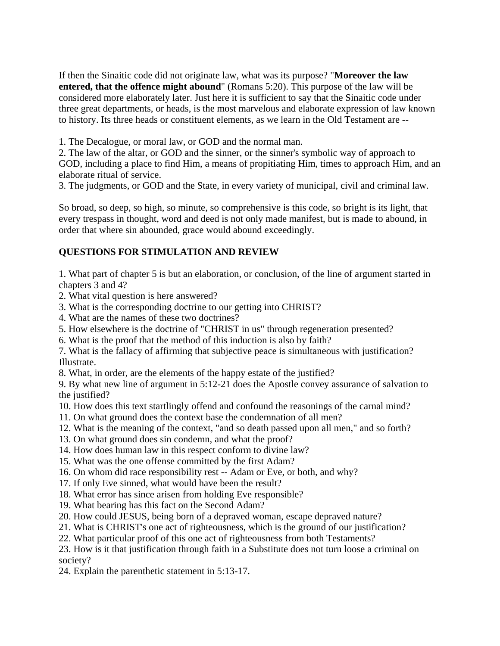If then the Sinaitic code did not originate law, what was its purpose? "**Moreover the law entered, that the offence might abound**" (Romans 5:20). This purpose of the law will be considered more elaborately later. Just here it is sufficient to say that the Sinaitic code under three great departments, or heads, is the most marvelous and elaborate expression of law known to history. Its three heads or constituent elements, as we learn in the Old Testament are --

1. The Decalogue, or moral law, or GOD and the normal man.

2. The law of the altar, or GOD and the sinner, or the sinner's symbolic way of approach to GOD, including a place to find Him, a means of propitiating Him, times to approach Him, and an elaborate ritual of service.

3. The judgments, or GOD and the State, in every variety of municipal, civil and criminal law.

So broad, so deep, so high, so minute, so comprehensive is this code, so bright is its light, that every trespass in thought, word and deed is not only made manifest, but is made to abound, in order that where sin abounded, grace would abound exceedingly.

# **QUESTIONS FOR STIMULATION AND REVIEW**

1. What part of chapter 5 is but an elaboration, or conclusion, of the line of argument started in chapters 3 and 4?

- 2. What vital question is here answered?
- 3. What is the corresponding doctrine to our getting into CHRIST?
- 4. What are the names of these two doctrines?
- 5. How elsewhere is the doctrine of "CHRIST in us" through regeneration presented?
- 6. What is the proof that the method of this induction is also by faith?

7. What is the fallacy of affirming that subjective peace is simultaneous with justification? Illustrate.

8. What, in order, are the elements of the happy estate of the justified?

9. By what new line of argument in 5:12-21 does the Apostle convey assurance of salvation to the justified?

10. How does this text startlingly offend and confound the reasonings of the carnal mind?

- 11. On what ground does the context base the condemnation of all men?
- 12. What is the meaning of the context, "and so death passed upon all men," and so forth?
- 13. On what ground does sin condemn, and what the proof?
- 14. How does human law in this respect conform to divine law?
- 15. What was the one offense committed by the first Adam?
- 16. On whom did race responsibility rest -- Adam or Eve, or both, and why?
- 17. If only Eve sinned, what would have been the result?
- 18. What error has since arisen from holding Eve responsible?
- 19. What bearing has this fact on the Second Adam?
- 20. How could JESUS, being born of a depraved woman, escape depraved nature?
- 21. What is CHRIST's one act of righteousness, which is the ground of our justification?
- 22. What particular proof of this one act of righteousness from both Testaments?
- 23. How is it that justification through faith in a Substitute does not turn loose a criminal on society?
- 24. Explain the parenthetic statement in 5:13-17.